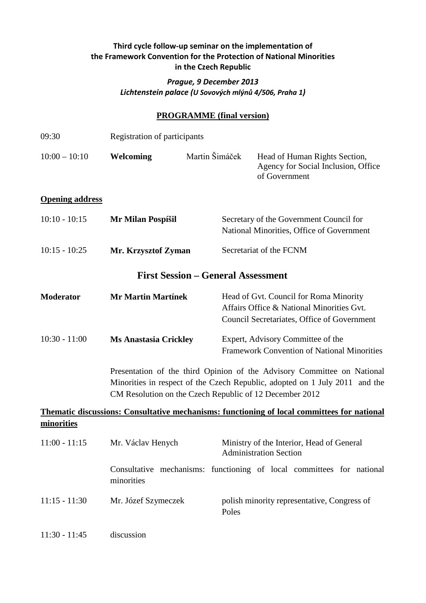### **Third cycle follow-up seminar on the implementation of the Framework Convention for the Protection of National Minorities in the Czech Republic**

#### *Prague, 9 December 2013 Lichtenstein palace (U Sovových mlýnů 4/506, Praha 1)*

#### **PROGRAMME (final version)**

| 09:30                  | Registration of participants                                                                                                                                                                                      |                |                                                                                                                                    |                               |                                                                                         |  |  |
|------------------------|-------------------------------------------------------------------------------------------------------------------------------------------------------------------------------------------------------------------|----------------|------------------------------------------------------------------------------------------------------------------------------------|-------------------------------|-----------------------------------------------------------------------------------------|--|--|
| $10:00 - 10:10$        | Welcoming                                                                                                                                                                                                         | Martin Šimáček |                                                                                                                                    | of Government                 | Head of Human Rights Section,<br>Agency for Social Inclusion, Office                    |  |  |
| <b>Opening address</b> |                                                                                                                                                                                                                   |                |                                                                                                                                    |                               |                                                                                         |  |  |
| $10:10 - 10:15$        | Mr Milan Pospíšil                                                                                                                                                                                                 |                |                                                                                                                                    |                               | Secretary of the Government Council for<br>National Minorities, Office of Government    |  |  |
| $10:15 - 10:25$        | Mr. Krzysztof Zyman                                                                                                                                                                                               |                |                                                                                                                                    | Secretariat of the FCNM       |                                                                                         |  |  |
|                        | <b>First Session – General Assessment</b>                                                                                                                                                                         |                |                                                                                                                                    |                               |                                                                                         |  |  |
| <b>Moderator</b>       | <b>Mr Martin Martínek</b>                                                                                                                                                                                         |                | Head of Gvt. Council for Roma Minority<br>Affairs Office & National Minorities Gvt.<br>Council Secretariates, Office of Government |                               |                                                                                         |  |  |
| $10:30 - 11:00$        | <b>Ms Anastasia Crickley</b>                                                                                                                                                                                      |                |                                                                                                                                    |                               | Expert, Advisory Committee of the<br><b>Framework Convention of National Minorities</b> |  |  |
|                        | Presentation of the third Opinion of the Advisory Committee on National<br>Minorities in respect of the Czech Republic, adopted on 1 July 2011 and the<br>CM Resolution on the Czech Republic of 12 December 2012 |                |                                                                                                                                    |                               |                                                                                         |  |  |
|                        | <b>Thematic discussions: Consultative mechanisms: functioning of local committees for national</b>                                                                                                                |                |                                                                                                                                    |                               |                                                                                         |  |  |
| minorities             |                                                                                                                                                                                                                   |                |                                                                                                                                    |                               |                                                                                         |  |  |
| $11:00 - 11:15$        | Mr. Václav Henych                                                                                                                                                                                                 |                |                                                                                                                                    | <b>Administration Section</b> | Ministry of the Interior, Head of General                                               |  |  |
|                        | Consultative mechanisms: functioning of local committees for national<br>minorities                                                                                                                               |                |                                                                                                                                    |                               |                                                                                         |  |  |
| $11:15 - 11:30$        | Mr. Józef Szymeczek                                                                                                                                                                                               |                | Poles                                                                                                                              |                               | polish minority representative, Congress of                                             |  |  |
| $11:30 - 11:45$        | discussion                                                                                                                                                                                                        |                |                                                                                                                                    |                               |                                                                                         |  |  |